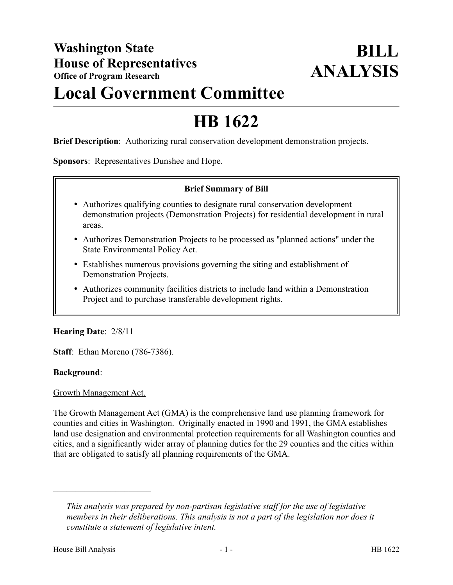## **Local Government Committee**

# **HB 1622**

**Brief Description**: Authorizing rural conservation development demonstration projects.

**Sponsors**: Representatives Dunshee and Hope.

### **Brief Summary of Bill**

- Authorizes qualifying counties to designate rural conservation development demonstration projects (Demonstration Projects) for residential development in rural areas.
- Authorizes Demonstration Projects to be processed as "planned actions" under the State Environmental Policy Act.
- Establishes numerous provisions governing the siting and establishment of Demonstration Projects.
- Authorizes community facilities districts to include land within a Demonstration Project and to purchase transferable development rights.

#### **Hearing Date**: 2/8/11

**Staff**: Ethan Moreno (786-7386).

#### **Background**:

#### Growth Management Act.

––––––––––––––––––––––

The Growth Management Act (GMA) is the comprehensive land use planning framework for counties and cities in Washington. Originally enacted in 1990 and 1991, the GMA establishes land use designation and environmental protection requirements for all Washington counties and cities, and a significantly wider array of planning duties for the 29 counties and the cities within that are obligated to satisfy all planning requirements of the GMA.

*This analysis was prepared by non-partisan legislative staff for the use of legislative members in their deliberations. This analysis is not a part of the legislation nor does it constitute a statement of legislative intent.*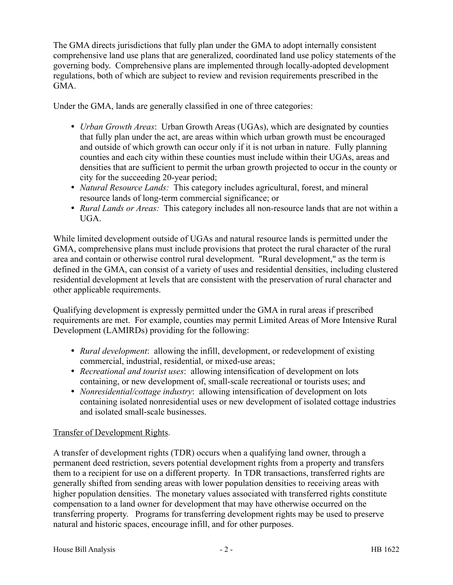The GMA directs jurisdictions that fully plan under the GMA to adopt internally consistent comprehensive land use plans that are generalized, coordinated land use policy statements of the governing body. Comprehensive plans are implemented through locally-adopted development regulations, both of which are subject to review and revision requirements prescribed in the GMA.

Under the GMA, lands are generally classified in one of three categories:

- *Urban Growth Areas*: Urban Growth Areas (UGAs), which are designated by counties that fully plan under the act, are areas within which urban growth must be encouraged and outside of which growth can occur only if it is not urban in nature. Fully planning counties and each city within these counties must include within their UGAs, areas and densities that are sufficient to permit the urban growth projected to occur in the county or city for the succeeding 20-year period;
- *Natural Resource Lands:* This category includes agricultural, forest, and mineral resource lands of long-term commercial significance; or
- *Rural Lands or Areas:* This category includes all non-resource lands that are not within a UGA.

While limited development outside of UGAs and natural resource lands is permitted under the GMA, comprehensive plans must include provisions that protect the rural character of the rural area and contain or otherwise control rural development. "Rural development," as the term is defined in the GMA, can consist of a variety of uses and residential densities, including clustered residential development at levels that are consistent with the preservation of rural character and other applicable requirements.

Qualifying development is expressly permitted under the GMA in rural areas if prescribed requirements are met. For example, counties may permit Limited Areas of More Intensive Rural Development (LAMIRDs) providing for the following:

- *Rural development*: allowing the infill, development, or redevelopment of existing commercial, industrial, residential, or mixed-use areas;
- *Recreational and tourist uses*: allowing intensification of development on lots containing, or new development of, small-scale recreational or tourists uses; and
- *Nonresidential/cottage industry*: allowing intensification of development on lots containing isolated nonresidential uses or new development of isolated cottage industries and isolated small-scale businesses.

## Transfer of Development Rights.

A transfer of development rights (TDR) occurs when a qualifying land owner, through a permanent deed restriction, severs potential development rights from a property and transfers them to a recipient for use on a different property. In TDR transactions, transferred rights are generally shifted from sending areas with lower population densities to receiving areas with higher population densities. The monetary values associated with transferred rights constitute compensation to a land owner for development that may have otherwise occurred on the transferring property. Programs for transferring development rights may be used to preserve natural and historic spaces, encourage infill, and for other purposes.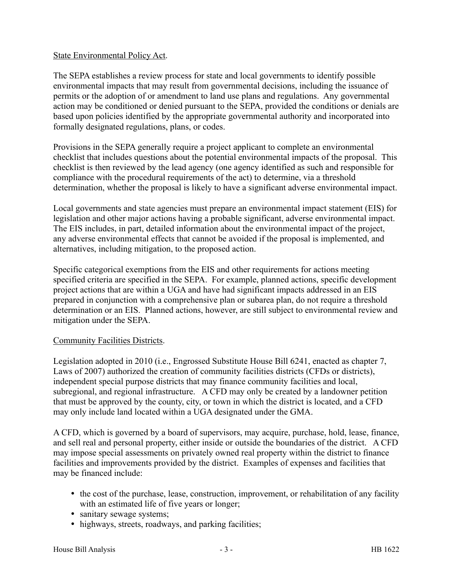### State Environmental Policy Act.

The SEPA establishes a review process for state and local governments to identify possible environmental impacts that may result from governmental decisions, including the issuance of permits or the adoption of or amendment to land use plans and regulations. Any governmental action may be conditioned or denied pursuant to the SEPA, provided the conditions or denials are based upon policies identified by the appropriate governmental authority and incorporated into formally designated regulations, plans, or codes.

Provisions in the SEPA generally require a project applicant to complete an environmental checklist that includes questions about the potential environmental impacts of the proposal. This checklist is then reviewed by the lead agency (one agency identified as such and responsible for compliance with the procedural requirements of the act) to determine, via a threshold determination, whether the proposal is likely to have a significant adverse environmental impact.

Local governments and state agencies must prepare an environmental impact statement (EIS) for legislation and other major actions having a probable significant, adverse environmental impact. The EIS includes, in part, detailed information about the environmental impact of the project, any adverse environmental effects that cannot be avoided if the proposal is implemented, and alternatives, including mitigation, to the proposed action.

Specific categorical exemptions from the EIS and other requirements for actions meeting specified criteria are specified in the SEPA. For example, planned actions, specific development project actions that are within a UGA and have had significant impacts addressed in an EIS prepared in conjunction with a comprehensive plan or subarea plan, do not require a threshold determination or an EIS. Planned actions, however, are still subject to environmental review and mitigation under the SEPA.

## Community Facilities Districts.

Legislation adopted in 2010 (i.e., Engrossed Substitute House Bill 6241, enacted as chapter 7, Laws of 2007) authorized the creation of community facilities districts (CFDs or districts), independent special purpose districts that may finance community facilities and local, subregional, and regional infrastructure. A CFD may only be created by a landowner petition that must be approved by the county, city, or town in which the district is located, and a CFD may only include land located within a UGA designated under the GMA.

A CFD, which is governed by a board of supervisors, may acquire, purchase, hold, lease, finance, and sell real and personal property, either inside or outside the boundaries of the district. A CFD may impose special assessments on privately owned real property within the district to finance facilities and improvements provided by the district. Examples of expenses and facilities that may be financed include:

- the cost of the purchase, lease, construction, improvement, or rehabilitation of any facility with an estimated life of five years or longer;
- sanitary sewage systems;
- highways, streets, roadways, and parking facilities;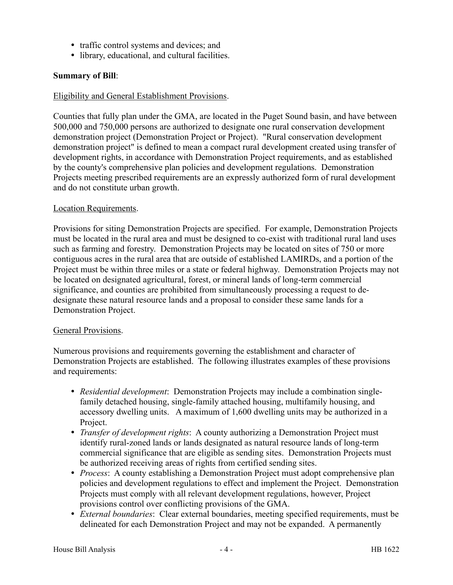- traffic control systems and devices; and
- library, educational, and cultural facilities.

### **Summary of Bill**:

#### Eligibility and General Establishment Provisions.

Counties that fully plan under the GMA, are located in the Puget Sound basin, and have between 500,000 and 750,000 persons are authorized to designate one rural conservation development demonstration project (Demonstration Project or Project). "Rural conservation development demonstration project" is defined to mean a compact rural development created using transfer of development rights, in accordance with Demonstration Project requirements, and as established by the county's comprehensive plan policies and development regulations. Demonstration Projects meeting prescribed requirements are an expressly authorized form of rural development and do not constitute urban growth.

#### Location Requirements.

Provisions for siting Demonstration Projects are specified. For example, Demonstration Projects must be located in the rural area and must be designed to co-exist with traditional rural land uses such as farming and forestry. Demonstration Projects may be located on sites of 750 or more contiguous acres in the rural area that are outside of established LAMIRDs, and a portion of the Project must be within three miles or a state or federal highway. Demonstration Projects may not be located on designated agricultural, forest, or mineral lands of long-term commercial significance, and counties are prohibited from simultaneously processing a request to dedesignate these natural resource lands and a proposal to consider these same lands for a Demonstration Project.

#### General Provisions.

Numerous provisions and requirements governing the establishment and character of Demonstration Projects are established. The following illustrates examples of these provisions and requirements:

- *Residential development*: Demonstration Projects may include a combination singlefamily detached housing, single-family attached housing, multifamily housing, and accessory dwelling units. A maximum of 1,600 dwelling units may be authorized in a Project.
- *Transfer of development rights*: A county authorizing a Demonstration Project must identify rural-zoned lands or lands designated as natural resource lands of long-term commercial significance that are eligible as sending sites. Demonstration Projects must be authorized receiving areas of rights from certified sending sites.
- *Process*: A county establishing a Demonstration Project must adopt comprehensive plan policies and development regulations to effect and implement the Project. Demonstration Projects must comply with all relevant development regulations, however, Project provisions control over conflicting provisions of the GMA.
- *External boundaries*: Clear external boundaries, meeting specified requirements, must be delineated for each Demonstration Project and may not be expanded. A permanently